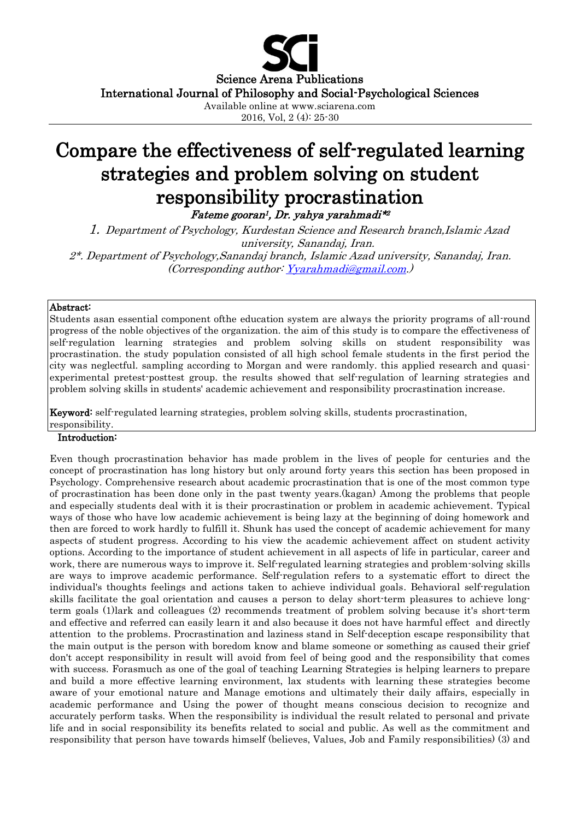

# Compare the effectiveness of self-regulated learning strategies and problem solving on student responsibility procrastination

Fateme gooran<sup>1</sup> , Dr. yahya yarahmadi\* 2

1. Department of Psychology, Kurdestan Science and Research branch,Islamic Azad university, Sanandaj, Iran. 2\*. Department of Psychology,Sanandaj branch, Islamic Azad university, Sanandaj, Iran. (Corresponding author[: Yyarahmadi@gmail.com.](mailto:Yyarahmadi@gmail.com))

#### Abstract:

Students asan essential component ofthe education system are always the priority programs of all-round progress of the noble objectives of the organization. the aim of this study is to compare the effectiveness of self-regulation learning strategies and problem solving skills on student responsibility was procrastination. the study population consisted of all high school female students in the first period the city was neglectful. sampling according to Morgan and were randomly. this applied research and quasiexperimental pretest-posttest group. the results showed that self-regulation of learning strategies and problem solving skills in students' academic achievement and responsibility procrastination increase.

Keyword: self-regulated learning strategies, problem solving skills, students procrastination,

# responsibility.

# Introduction:

Even though procrastination behavior has made problem in the lives of people for centuries and the concept of procrastination has long history but only around forty years this section has been proposed in Psychology. Comprehensive research about academic procrastination that is one of the most common type of procrastination has been done only in the past twenty years.(kagan) Among the problems that people and especially students deal with it is their procrastination or problem in academic achievement. Typical ways of those who have low academic achievement is being lazy at the beginning of doing homework and then are forced to work hardly to fulfill it. Shunk has used the concept of academic achievement for many aspects of student progress. According to his view the academic achievement affect on student activity options. According to the importance of student achievement in all aspects of life in particular, career and work, there are numerous ways to improve it. Self-regulated learning strategies and problem-solving skills are ways to improve academic performance. Self-regulation refers to a systematic effort to direct the individual's thoughts feelings and actions taken to achieve individual goals. Behavioral self-regulation skills facilitate the goal orientation and causes a person to delay short-term pleasures to achieve longterm goals (1)lark and colleagues (2) recommends treatment of problem solving because it's short-term and effective and referred can easily learn it and also because it does not have harmful effect and directly attention to the problems. Procrastination and laziness stand in Self-deception escape responsibility that the main output is the person with boredom know and blame someone or something as caused their grief don't accept responsibility in result will avoid from feel of being good and the responsibility that comes with success. Forasmuch as one of the goal of teaching Learning Strategies is helping learners to prepare and build a more effective learning environment, lax students with learning these strategies become aware of your emotional nature and Manage emotions and ultimately their daily affairs, especially in academic performance and Using the power of thought means conscious decision to recognize and accurately perform tasks. When the responsibility is individual the result related to personal and private life and in social responsibility its benefits related to social and public. As well as the commitment and responsibility that person have towards himself (believes, Values, Job and Family responsibilities) (3) and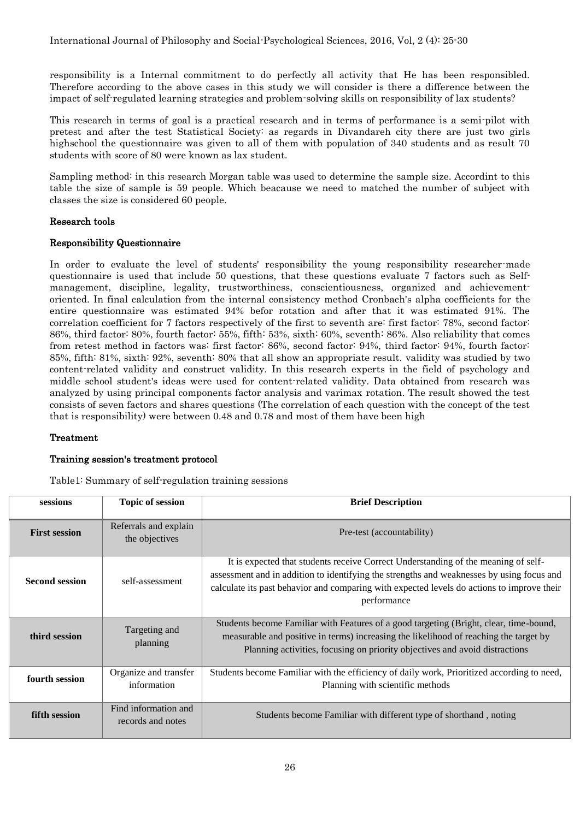responsibility is a Internal commitment to do perfectly all activity that He has been responsibled. Therefore according to the above cases in this study we will consider is there a difference between the impact of self-regulated learning strategies and problem-solving skills on responsibility of lax students?

This research in terms of goal is a practical research and in terms of performance is a semi-pilot with pretest and after the test Statistical Society: as regards in Divandareh city there are just two girls highschool the questionnaire was given to all of them with population of 340 students and as result 70 students with score of 80 were known as lax student.

Sampling method: in this research Morgan table was used to determine the sample size. Accordint to this table the size of sample is 59 people. Which beacause we need to matched the number of subject with classes the size is considered 60 people.

#### Research tools

#### Responsibility Questionnaire

In order to evaluate the level of students' responsibility the young responsibility researcher-made questionnaire is used that include 50 questions, that these questions evaluate 7 factors such as Selfmanagement, discipline, legality, trustworthiness, conscientiousness, organized and achievementoriented. In final calculation from the internal consistency method Cronbach's alpha coefficients for the entire questionnaire was estimated 94% befor rotation and after that it was estimated 91%. The correlation coefficient for 7 factors respectively of the first to seventh are: first factor: 78%, second factor: 86%, third factor: 80%, fourth factor: 55%, fifth: 53%, sixth: 60%, seventh: 86%. Also reliability that comes from retest method in factors was: first factor: 86%, second factor: 94%, third factor: 94%, fourth factor: 85%, fifth: 81%, sixth: 92%, seventh: 80% that all show an appropriate result. validity was studied by two content-related validity and construct validity. In this research experts in the field of psychology and middle school student's ideas were used for content-related validity. Data obtained from research was analyzed by using principal components factor analysis and varimax rotation. The result showed the test consists of seven factors and shares questions (The correlation of each question with the concept of the test that is responsibility) were between 0.48 and 0.78 and most of them have been high

# Treatment

# Training session's treatment protocol

Table1: Summary of self-regulation training sessions

| sessions              | <b>Topic of session</b>                   | <b>Brief Description</b>                                                                                                                                                                                                                                                                     |
|-----------------------|-------------------------------------------|----------------------------------------------------------------------------------------------------------------------------------------------------------------------------------------------------------------------------------------------------------------------------------------------|
| <b>First session</b>  | Referrals and explain<br>the objectives   | Pre-test (accountability)                                                                                                                                                                                                                                                                    |
| <b>Second session</b> | self-assessment                           | It is expected that students receive Correct Understanding of the meaning of self-<br>assessment and in addition to identifying the strengths and weaknesses by using focus and<br>calculate its past behavior and comparing with expected levels do actions to improve their<br>performance |
| third session         | Targeting and<br>planning                 | Students become Familiar with Features of a good targeting (Bright, clear, time-bound,<br>measurable and positive in terms) increasing the likelihood of reaching the target by<br>Planning activities, focusing on priority objectives and avoid distractions                               |
| fourth session        | Organize and transfer<br>information      | Students become Familiar with the efficiency of daily work, Prioritized according to need,<br>Planning with scientific methods                                                                                                                                                               |
| fifth session         | Find information and<br>records and notes | Students become Familiar with different type of shorthand, noting                                                                                                                                                                                                                            |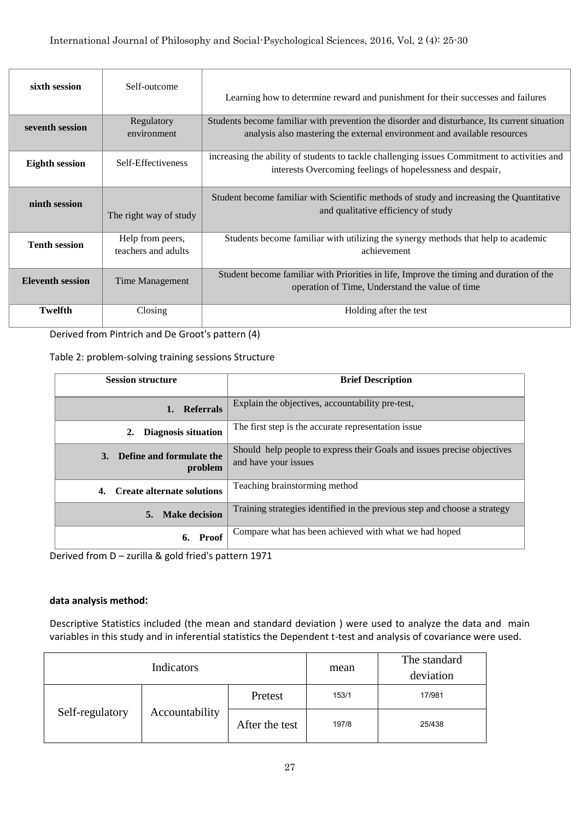| sixth session           | Self-outcome                            | Learning how to determine reward and punishment for their successes and failures                                                                                         |
|-------------------------|-----------------------------------------|--------------------------------------------------------------------------------------------------------------------------------------------------------------------------|
| seventh session         | Regulatory<br>environment               | Students become familiar with prevention the disorder and disturbance, Its current situation<br>analysis also mastering the external environment and available resources |
| <b>Eighth session</b>   | Self-Effectiveness                      | increasing the ability of students to tackle challenging issues Commitment to activities and<br>interests Overcoming feelings of hopelessness and despair,               |
| ninth session           | The right way of study                  | Student become familiar with Scientific methods of study and increasing the Quantitative<br>and qualitative efficiency of study                                          |
| <b>Tenth session</b>    | Help from peers,<br>teachers and adults | Students become familiar with utilizing the synergy methods that help to academic<br>achievement                                                                         |
| <b>Eleventh session</b> | Time Management                         | Student become familiar with Priorities in life, Improve the timing and duration of the<br>operation of Time, Understand the value of time                               |
| <b>Twelfth</b>          | <b>Closing</b>                          | Holding after the test                                                                                                                                                   |

Derived from Pintrich and De Groot's pattern (4)

Table 2: problem-solving training sessions Structure

| <b>Session structure</b>                  | <b>Brief Description</b>                                                                        |  |  |
|-------------------------------------------|-------------------------------------------------------------------------------------------------|--|--|
| <b>Referrals</b><br>1.                    | Explain the objectives, accountability pre-test,                                                |  |  |
| Diagnosis situation                       | The first step is the accurate representation issue.                                            |  |  |
| Define and formulate the<br>3.<br>problem | Should help people to express their Goals and issues precise objectives<br>and have your issues |  |  |
| <b>Create alternate solutions</b><br>4.   | Teaching brainstorming method                                                                   |  |  |
| <b>Make decision</b><br>5.                | Training strategies identified in the previous step and choose a strategy                       |  |  |
| 6. Proof                                  | Compare what has been achieved with what we had hoped                                           |  |  |

Derived from D – zurilla & gold fried's pattern 1971

# **data analysis method:**

Descriptive Statistics included (the mean and standard deviation ) were used to analyze the data and main variables in this study and in inferential statistics the Dependent t-test and analysis of covariance were used.

|                 | Indicators     | mean           | The standard<br>deviation |        |
|-----------------|----------------|----------------|---------------------------|--------|
| Self-regulatory | Accountability | Pretest        | 153/1                     | 17/981 |
|                 |                | After the test | 197/8                     | 25/438 |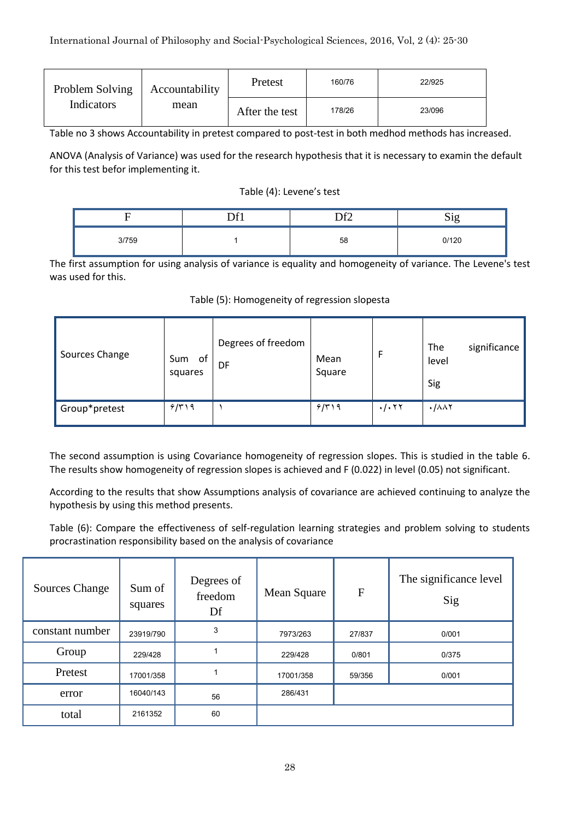| Problem Solving | Accountability | Pretest        | 160/76 | 22/925 |
|-----------------|----------------|----------------|--------|--------|
| Indicators      | mean           | After the test | 178/26 | 23/096 |

Table no 3 shows Accountability in pretest compared to post-test in both medhod methods has increased.

ANOVA (Analysis of Variance) was used for the research hypothesis that it is necessary to examin the default for this test befor implementing it.

#### Table (4): Levene's test

|       | r 01 | ר⊬רו | $\sim \cdot$<br>்பட<br>້ |
|-------|------|------|--------------------------|
| 3/759 |      | 58   | 0/120                    |

The first assumption for using analysis of variance is equality and homogeneity of variance. The Levene's test was used for this.

| Sources Change | of<br>Sum<br>squares | Degrees of freedom<br>DF | Mean<br>Square |                                 | The<br>significance<br>level<br>Sig |
|----------------|----------------------|--------------------------|----------------|---------------------------------|-------------------------------------|
| Group*pretest  | 9/519                |                          | 9/519          | $\cdot$ / $\cdot$ $\tau$ $\tau$ | $\cdot$ / $\wedge \wedge \vee$      |

# Table (5): Homogeneity of regression slopesta

The second assumption is using Covariance homogeneity of regression slopes. This is studied in the table 6. The results show homogeneity of regression slopes is achieved and F (0.022) in level (0.05) not significant.

According to the results that show Assumptions analysis of covariance are achieved continuing to analyze the hypothesis by using this method presents.

Table (6): Compare the effectiveness of self-regulation learning strategies and problem solving to students procrastination responsibility based on the analysis of covariance

| <b>Sources Change</b> | Sum of<br>squares | Degrees of<br>freedom<br>Df | Mean Square | F      | The significance level<br>Sig |
|-----------------------|-------------------|-----------------------------|-------------|--------|-------------------------------|
| constant number       | 23919/790         | 3                           | 7973/263    | 27/837 | 0/001                         |
| Group                 | 229/428           |                             | 229/428     | 0/801  | 0/375                         |
| Pretest               | 17001/358         |                             | 17001/358   | 59/356 | 0/001                         |
| error                 | 16040/143         | 56                          | 286/431     |        |                               |
| total                 | 2161352           | 60                          |             |        |                               |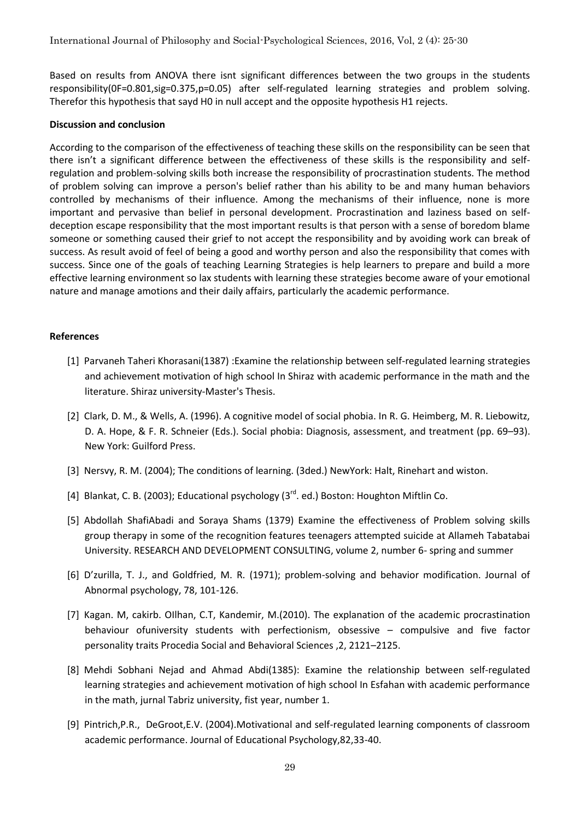Based on results from ANOVA there isnt significant differences between the two groups in the students responsibility(0F=0.801,sig=0.375,p=0.05) after self-regulated learning strategies and problem solving. Therefor this hypothesis that sayd H0 in null accept and the opposite hypothesis H1 rejects.

#### **Discussion and conclusion**

According to the comparison of the effectiveness of teaching these skills on the responsibility can be seen that there isn't a significant difference between the effectiveness of these skills is the responsibility and selfregulation and problem-solving skills both increase the responsibility of procrastination students. The method of problem solving can improve a person's belief rather than his ability to be and many human behaviors controlled by mechanisms of their influence. Among the mechanisms of their influence, none is more important and pervasive than belief in personal development. Procrastination and laziness based on selfdeception escape responsibility that the most important results is that person with a sense of boredom blame someone or something caused their grief to not accept the responsibility and by avoiding work can break of success. As result avoid of feel of being a good and worthy person and also the responsibility that comes with success. Since one of the goals of teaching Learning Strategies is help learners to prepare and build a more effective learning environment so lax students with learning these strategies become aware of your emotional nature and manage amotions and their daily affairs, particularly the academic performance.

# **References**

- [1] Parvaneh Taheri Khorasani(1387) :Examine the relationship between self-regulated learning strategies and achievement motivation of high school In Shiraz with academic performance in the math and the literature. Shiraz university-Master's Thesis.
- [2] Clark, D. M., & Wells, A. (1996). A cognitive model of social phobia. In R. G. Heimberg, M. R. Liebowitz, D. A. Hope, & F. R. Schneier (Eds.). Social phobia: Diagnosis, assessment, and treatment (pp. 69–93). New York: Guilford Press.
- [3] Nersvy, R. M. (2004); The conditions of learning. (3ded.) NewYork: Halt, Rinehart and wiston.
- [4] Blankat, C. B. (2003); Educational psychology (3<sup>rd</sup>. ed.) Boston: Houghton Miftlin Co.
- [5] Abdollah ShafiAbadi and Soraya Shams (1379) Examine the effectiveness of Problem solving skills group therapy in some of the recognition features teenagers attempted suicide at Allameh Tabatabai University. RESEARCH AND DEVELOPMENT CONSULTING, volume 2, number 6- spring and summer
- [6] D'zurilla, T. J., and Goldfried, M. R. (1971); problem-solving and behavior modification. Journal of Abnormal psychology, 78, 101-126.
- [7] Kagan. M, cakirb. OIlhan, C.T, Kandemir, M.(2010). The explanation of the academic procrastination behaviour ofuniversity students with perfectionism, obsessive – compulsive and five factor personality traits Procedia Social and Behavioral Sciences ,2, 2121–2125.
- [8] Mehdi Sobhani Nejad and Ahmad Abdi(1385): Examine the relationship between self-regulated learning strategies and achievement motivation of high school In Esfahan with academic performance in the math, jurnal Tabriz university, fist year, number 1.
- [9] Pintrich,P.R., DeGroot,E.V. (2004).Motivational and self-regulated learning components of classroom academic performance. Journal of Educational Psychology,82,33-40.